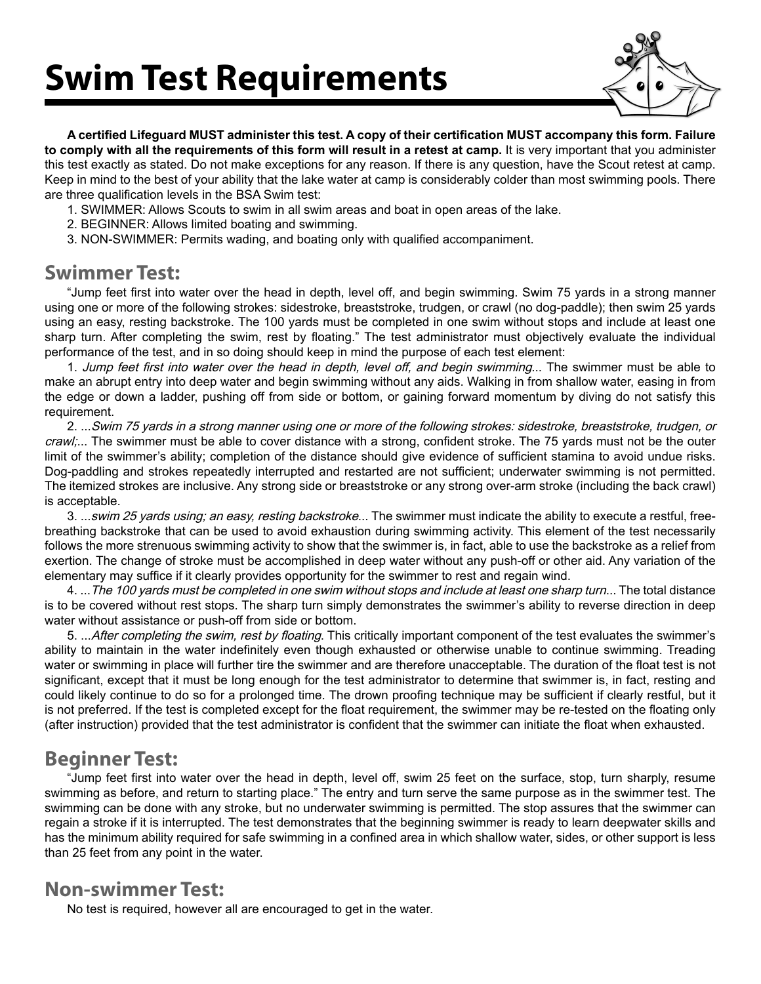## **Swim Test Requirements**



**A certified Lifeguard MUST administer this test. A copy of their certification MUST accompany this form. Failure to comply with all the requirements of this form will result in a retest at camp.** It is very important that you administer this test exactly as stated. Do not make exceptions for any reason. If there is any question, have the Scout retest at camp. Keep in mind to the best of your ability that the lake water at camp is considerably colder than most swimming pools. There are three qualification levels in the BSA Swim test:

- 1. SWIMMER: Allows Scouts to swim in all swim areas and boat in open areas of the lake.
- 2. BEGINNER: Allows limited boating and swimming.
- 3. NON-SWIMMER: Permits wading, and boating only with qualified accompaniment.

#### **Swimmer Test:**

"Jump feet first into water over the head in depth, level off, and begin swimming. Swim 75 yards in a strong manner using one or more of the following strokes: sidestroke, breaststroke, trudgen, or crawl (no dog-paddle); then swim 25 yards using an easy, resting backstroke. The 100 yards must be completed in one swim without stops and include at least one sharp turn. After completing the swim, rest by floating." The test administrator must objectively evaluate the individual performance of the test, and in so doing should keep in mind the purpose of each test element:

1. Jump feet first into water over the head in depth, level off, and begin swimming... The swimmer must be able to make an abrupt entry into deep water and begin swimming without any aids. Walking in from shallow water, easing in from the edge or down a ladder, pushing off from side or bottom, or gaining forward momentum by diving do not satisfy this requirement.

2. ...Swim 75 yards in a strong manner using one or more of the following strokes: sidestroke, breaststroke, trudgen, or craw,... The swimmer must be able to cover distance with a strong, confident stroke. The 75 yards must not be the outer limit of the swimmer's ability; completion of the distance should give evidence of sufficient stamina to avoid undue risks. Dog-paddling and strokes repeatedly interrupted and restarted are not sufficient; underwater swimming is not permitted. The itemized strokes are inclusive. Any strong side or breaststroke or any strong over-arm stroke (including the back crawl) is acceptable.

3. ...swim 25 yards using; an easy, resting backstroke... The swimmer must indicate the ability to execute a restful, freebreathing backstroke that can be used to avoid exhaustion during swimming activity. This element of the test necessarily follows the more strenuous swimming activity to show that the swimmer is, in fact, able to use the backstroke as a relief from exertion. The change of stroke must be accomplished in deep water without any push-off or other aid. Any variation of the elementary may suffice if it clearly provides opportunity for the swimmer to rest and regain wind.

4. ...The 100 yards must be completed in one swim without stops and include at least one sharp turn... The total distance is to be covered without rest stops. The sharp turn simply demonstrates the swimmer's ability to reverse direction in deep water without assistance or push-off from side or bottom.

5. ... After completing the swim, rest by floating. This critically important component of the test evaluates the swimmer's ability to maintain in the water indefinitely even though exhausted or otherwise unable to continue swimming. Treading water or swimming in place will further tire the swimmer and are therefore unacceptable. The duration of the float test is not significant, except that it must be long enough for the test administrator to determine that swimmer is, in fact, resting and could likely continue to do so for a prolonged time. The drown proofing technique may be sufficient if clearly restful, but it is not preferred. If the test is completed except for the float requirement, the swimmer may be re-tested on the floating only (after instruction) provided that the test administrator is confident that the swimmer can initiate the float when exhausted.

### **Beginner Test:**

"Jump feet first into water over the head in depth, level off, swim 25 feet on the surface, stop, turn sharply, resume swimming as before, and return to starting place." The entry and turn serve the same purpose as in the swimmer test. The swimming can be done with any stroke, but no underwater swimming is permitted. The stop assures that the swimmer can regain a stroke if it is interrupted. The test demonstrates that the beginning swimmer is ready to learn deepwater skills and has the minimum ability required for safe swimming in a confined area in which shallow water, sides, or other support is less than 25 feet from any point in the water.

### **Non-swimmer Test:**

No test is required, however all are encouraged to get in the water.